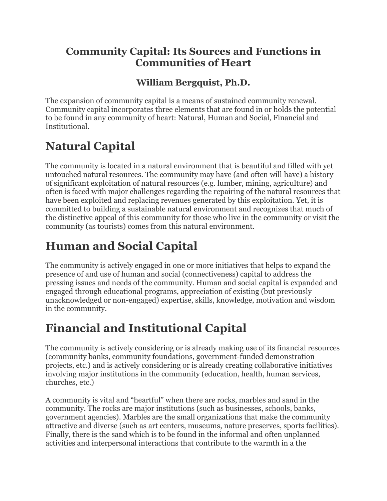#### **Community Capital: Its Sources and Functions in Communities of Heart**

#### **William Bergquist, Ph.D.**

The expansion of community capital is a means of sustained community renewal. Community capital incorporates three elements that are found in or holds the potential to be found in any community of heart: Natural, Human and Social, Financial and Institutional.

# **Natural Capital**

The community is located in a natural environment that is beautiful and filled with yet untouched natural resources. The community may have (and often will have) a history of significant exploitation of natural resources (e.g. lumber, mining, agriculture) and often is faced with major challenges regarding the repairing of the natural resources that have been exploited and replacing revenues generated by this exploitation. Yet, it is committed to building a sustainable natural environment and recognizes that much of the distinctive appeal of this community for those who live in the community or visit the community (as tourists) comes from this natural environment.

# **Human and Social Capital**

The community is actively engaged in one or more initiatives that helps to expand the presence of and use of human and social (connectiveness) capital to address the pressing issues and needs of the community. Human and social capital is expanded and engaged through educational programs, appreciation of existing (but previously unacknowledged or non-engaged) expertise, skills, knowledge, motivation and wisdom in the community.

### **Financial and Institutional Capital**

The community is actively considering or is already making use of its financial resources (community banks, community foundations, government-funded demonstration projects, etc.) and is actively considering or is already creating collaborative initiatives involving major institutions in the community (education, health, human services, churches, etc.)

A community is vital and "heartful" when there are rocks, marbles and sand in the community. The rocks are major institutions (such as businesses, schools, banks, government agencies). Marbles are the small organizations that make the community attractive and diverse (such as art centers, museums, nature preserves, sports facilities). Finally, there is the sand which is to be found in the informal and often unplanned activities and interpersonal interactions that contribute to the warmth in a the